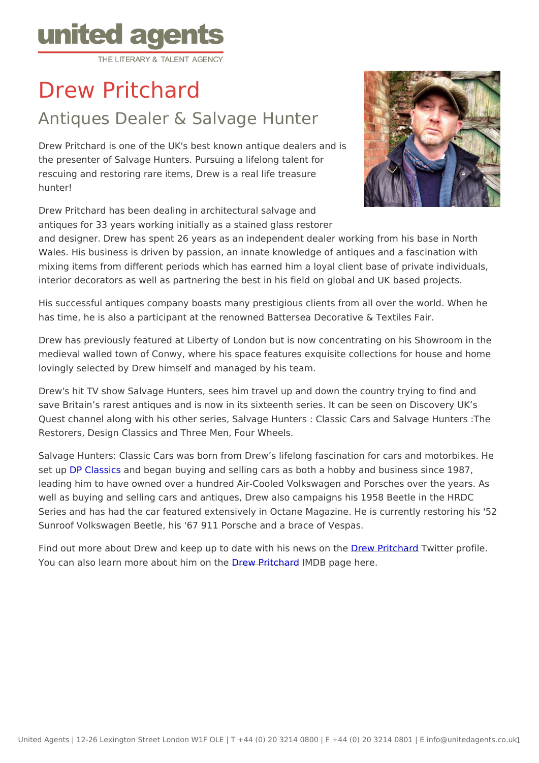## Drew Pritchard

## Antiques Dealer & Salvage Hunter

Drew Pritchard is one of the UK's best known antique dealers and is the presenter of Salvage Hunters. Pursuing a lifelong talent for rescuing and restoring rare items, Drew is a real life treasure hunter!

Drew Pritchard has been dealing in architectural salvage and antiques for 33 years working initially as a stained glass restorer and designer. Drew has spent 26 years as an independent dealer working from Wales. His business is driven by passion, an innate knowledge of antiques ar mixing items from different periods which has earned him a loyal client base interior decorators as well as partnering the best in his field on global and U

His successful antiques company boasts many prestigious clients from all over has time, he is also a participant at the renowned Battersea Decorative & Te

Drew has previously featured at Liberty of London but is now concentrating o medieval walled town of Conwy, where his space features exquisite collection lovingly selected by Drew himself and managed by his team.

Drew's hit TV show Salvage Hunters, sees him travel up and down the country save Britain s rarest antiques and is now in its sixteenth series. It can be se Quest channel along with his other series, Salvage Hunters : Classic Cars and Restorers, Design Classics and Three Men, Four Wheels.

Salvage Hunters: Classic Cars was born from Drew s lifelong fascination for set up P Classansd began buying and selling cars as both a hobby and busines leading him to have owned over a hundred Air-Cooled Volkswagen and Porsch well as buying and selling cars and antiques, Drew also campaigns his 1958 Series and has had the car featured extensively in Octane Magazine. He is cu Sunroof Volkswagen Beetle, his '67 911 Porsche and a brace of Vespas.

Find out more about Drew and keep up to date w**Dthe.huis Pnieworls Turite** profile. You can also learn more about Dhew Prithed MDB page here.